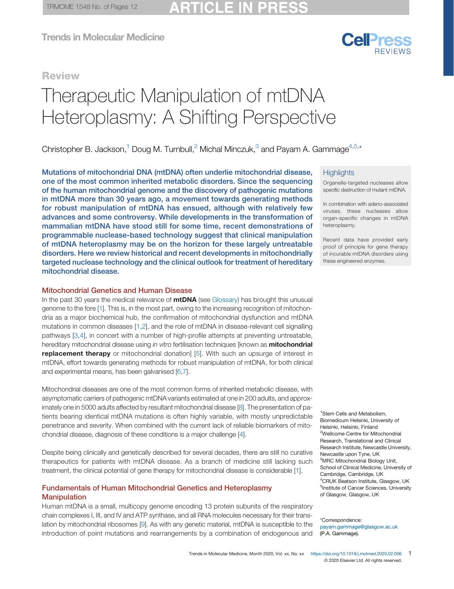# CI F

Trends in Molecular Medicine

# **Review**

# Heteroplasmy: A Shifting Perspectiv Heteroplasmy: A Shifting Perspective

Christopher B. Jackson,<sup>1</sup> Doug M. Turnbull,<sup>2</sup> Michal Minczuk,<sup>3</sup> and Payam A. Gammage<sup>4,5,\*</sup>

Mutations of mitochondrial DNA (mtDNA) often underlie mitochondrial disease, one of the most common inherited metabolic disorders. Since the sequencing of the human mitochondrial genome and the discovery of pathogenic mutations in mtDNA more than 30 years ago, a movement towards generating methods for robust manipulation of mtDNA has ensued, although with relatively few advances and some controversy. While developments in the transformation of mammalian mtDNA have stood still for some time, recent demonstrations of programmable nuclease-based technology suggest that clinical manipulation of mtDNA heteroplasmy may be on the horizon for these largely untreatable disorders. Here we review historical and recent developments in mitochondrially targeted nuclease technology and the clinical outlook for treatment of hereditary mitochondrial disease.

### Mitochondrial Genetics and Human Disease

In the past 30 years the medical relevance of **mtDNA** (see [Glossary\)](#page-1-0) has brought this unusual genome to the fore [\[1](#page-10-0)]. This is, in the most part, owing to the increasing recognition of mitochondria as a major biochemical hub, the confirmation of mitochondrial dysfunction and mtDNA mutations in common diseases [\[1](#page-10-0),[2\]](#page-10-0), and the role of mtDNA in disease-relevant cell signalling pathways [[3,4](#page-10-0)], in concert with a number of high-profile attempts at preventing untreatable, hereditary mitochondrial disease using in vitro fertilisation techniques [known as **mitochondrial replacement therapy** or mitochondrial donation [[5\]](#page-10-0). With such an upsurge of interest in mtDNA, effort towards generating methods for robust manipulation of mtDNA, for both clinical and experimental means, has been galvanised [[6](#page-10-0),[7\]](#page-10-0).

Mitochondrial diseases are one of the most common forms of inherited metabolic disease, with asymptomatic carriers of pathogenic mtDNA variants estimated at one in 200 adults, and approximately one in 5000 adults affected by resultant mitochondrial disease [\[8](#page-10-0)]. The presentation of patients bearing identical mtDNA mutations is often highly variable, with mostly unpredictable penetrance and severity. When combined with the current lack of reliable biomarkers of mitochondrial disease, diagnosis of these conditions is a major challenge [\[4](#page-10-0)].

Despite being clinically and genetically described for several decades, there are still no curative therapeutics for patients with mtDNA disease. As a branch of medicine still lacking such treatment, the clinical potential of gene therapy for mitochondrial disease is considerable [[1\]](#page-10-0).

# Fundamentals of Human Mitochondrial Genetics and Heteroplasmy Manipulation

Human mtDNA is a small, multicopy genome encoding 13 protein subunits of the respiratory chain complexes I, III, and IV and ATP synthase, and all RNA molecules necessary for their translation by mitochondrial ribosomes [[9](#page-10-0)]. As with any genetic material, mtDNA is susceptible to the introduction of point mutations and rearrangements by a combination of endogenous and

#### **Highlights**

Organelle-targeted nucleases allow specific destruction of mutant mtDNA.

CalPrass

In combination with adeno-associated viruses, these nucleases allow organ-specific changes in mtDNA heteroplasmy.

Recent data have provided early proof of principle for gene therapy of incurable mtDNA disorders using these engineered enzymes.

1 Stem Cells and Metabolism, Biomedicum Helsinki, University of Helsinki, Helsinki, Finland <sup>2</sup>Wellcome Centre for Mitochondrial Research, Translational and Clinical Research Institute, Newcastle University, Newcastle upon Tyne, UK <sup>3</sup>MRC Mitochondrial Biology Unit, School of Clinical Medicine, University of Cambridge, Cambridge, UK 4 CRUK Beatson Institute, Glasgow, UK <sup>5</sup>Institute of Cancer Sciences, University of Glasgow, Glasgow, UK

\*Correspondence: payam.gammage@glasgow.ac.uk (P.A. Gammage).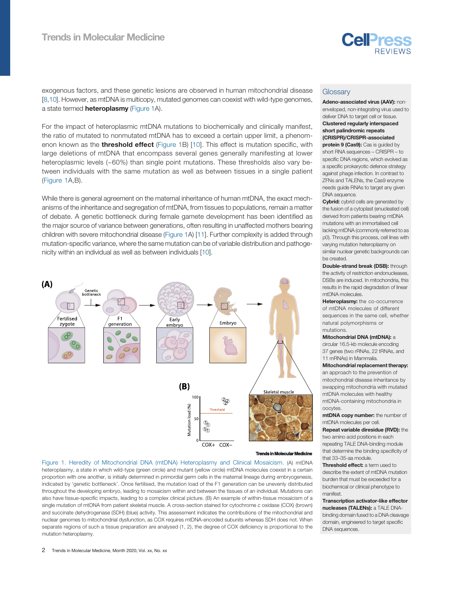

<span id="page-1-0"></span>exogenous factors, and these genetic lesions are observed in human mitochondrial disease [[8,10](#page-10-0)]. However, as mtDNA is multicopy, mutated genomes can coexist with wild-type genomes, a state termed **heteroplasmy** (Figure 1A).

For the impact of heteroplasmic mtDNA mutations to biochemically and clinically manifest, the ratio of mutated to nonmutated mtDNA has to exceed a certain upper limit, a phenomenon known as the **threshold effect** (Figure 1B) [[10](#page-10-0)]. This effect is mutation specific, with large deletions of mtDNA that encompass several genes generally manifesting at lower heteroplasmic levels (~60%) than single point mutations. These thresholds also vary between individuals with the same mutation as well as between tissues in a single patient (Figure 1A,B).

While there is general agreement on the maternal inheritance of human mtDNA, the exact mechanisms of the inheritance and segregation of mtDNA, from tissues to populations, remain a matter of debate. A genetic bottleneck during female gamete development has been identified as the major source of variance between generations, often resulting in unaffected mothers bearing children with severe mitochondrial disease (Figure 1A) [\[11\]](#page-10-0). Further complexity is added through mutation-specific variance, where the same mutation can be of variable distribution and pathogenicity within an individual as well as between individuals [\[10](#page-10-0)].



#### **Trends in Molecular Molecular Medicine**

Figure 1. Heredity of Mitochondrial DNA (mtDNA) Heteroplasmy and Clinical Mosaicism. (A) mtDNA heteroplasmy, a state in which wild-type (green circle) and mutant (yellow circle) mtDNA molecules coexist in a certain proportion with one another, is initially determined in primordial germ cells in the maternal lineage during embryogenesis, indicated by 'genetic bottleneck'. Once fertilised, the mutation load of the F1 generation can be unevenly distributed throughout the developing embryo, leading to mosaicism within and between the tissues of an individual. Mutations can also have tissue-specific impacts, leading to a complex clinical picture. (B) An example of within-tissue mosaicism of a single mutation of mtDNA from patient skeletal muscle. A cross-section stained for cytochrome c oxidase (COX) (brown) and succinate dehydrogenase (SDH) (blue) activity. This assessment indicates the contributions of the mitochondrial and nuclear genomes to mitochondrial dysfunction, as COX requires mtDNA-encoded subunits whereas SDH does not. When separate regions of such a tissue preparation are analysed (1, 2), the degree of COX deficiency is proportional to the mutation heteroplasmy.

Adeno-associated virus (AAV): nonenveloped, non‐integrating virus used to deliver DNA to target cell or tissue. Clustered regularly interspaced short palindromic repeats

(CRISPR)/CRISPR-associated

protein 9 (Cas9): Cas is guided by short RNA sequences – CRISPR – to specific DNA regions, which evolved as a specific prokaryotic defence strategy against phage infection. In contrast to ZFNs and TALENs, the Cas9 enzyme needs guide RNAs to target any given DNA sequence.

Cybrid: cybrid cells are generated by the fusion of a cytoplast (enucleated cell) derived from patients bearing mtDNA mutations with an immortalised cell lacking mtDNA (commonly referred to as ρ0). Through this process, cell lines with varying mutation heteroplasmy on similar nuclear genetic backgrounds can be created.

Double-strand break (DSB): through the activity of restriction endonucleases, DSBs are induced. In mitochondria, this results in the rapid degradation of linear mtDNA molecules.

Heteroplasmy: the co-occurrence of mtDNA molecules of different sequences in the same cell, whether natural polymorphisms or mutations.

#### Mitochondrial DNA (mtDNA): a

circular 16.5-kb molecule encoding 37 genes (two rRNAs, 22 tRNAs, and 11 mRNAs) in Mammalia.

#### Mitochondrial replacement therapy:

an approach to the prevention of mitochondrial disease inheritance by swapping mitochondria with mutated mtDNA molecules with healthy mtDNA-containing mitochondria in oocytes.

mtDNA copy number: the number of mtDNA molecules per cell.

Repeat variable diresidue (RVD): the two amino acid positions in each repeating TALE DNA-binding module that determine the binding specificity of that 33–35-aa module.

Threshold effect: a term used to describe the extent of mtDNA mutation burden that must be exceeded for a biochemical or clinical phenotype to manifest.

Transcription activator-like effector nucleases (TALENs): a TALE DNAbinding domain fused to a DNA cleavage domain, engineered to target specific DNA sequences.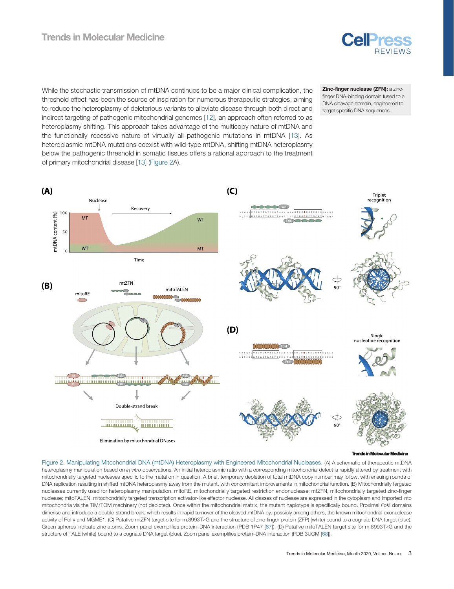# <span id="page-2-0"></span>Trends in Molecular Medicine



While the stochastic transmission of mtDNA continues to be a major clinical complication, the threshold effect has been the source of inspiration for numerous therapeutic strategies, aiming to reduce the heteroplasmy of deleterious variants to alleviate disease through both direct and indirect targeting of pathogenic mitochondrial genomes [\[12](#page-10-0)], an approach often referred to as heteroplasmy shifting. This approach takes advantage of the multicopy nature of mtDNA and the functionally recessive nature of virtually all pathogenic mutations in mtDNA [[13](#page-10-0)]. As heteroplasmic mtDNA mutations coexist with wild-type mtDNA, shifting mtDNA heteroplasmy below the pathogenic threshold in somatic tissues offers a rational approach to the treatment of primary mitochondrial disease [[13\]](#page-10-0) (Figure 2A).

Zinc-finger nuclease (ZFN): a zincfinger DNA-binding domain fused to a DNA cleavage domain, engineered to target specific DNA sequences.



**Trends in Molecular Molecular Medicine**

Figure 2. Manipulating Mitochondrial DNA (mtDNA) Heteroplasmy with Engineered Mitochondrial Nucleases. (A) A schematic of therapeutic mtDNA heteroplasmy manipulation based on in vitro observations. An initial heteroplasmic ratio with a corresponding mitochondrial defect is rapidly altered by treatment with mitochondrially targeted nucleases specific to the mutation in question. A brief, temporary depletion of total mtDNA copy number may follow, with ensuing rounds of DNA replication resulting in shifted mtDNA heteroplasmy away from the mutant, with concomitant improvements in mitochondrial function. (B) Mitochondrially targeted nucleases currently used for heteroplasmy manipulation. mitoRE, mitochondrially targeted restriction endonuclease; mtZFN, mitochondrially targeted zinc-finger nuclease; mitoTALEN, mitochondrially targeted transcription activator-like effector nuclease. All classes of nuclease are expressed in the cytoplasm and imported into mitochondria via the TIM/TOM machinery (not depicted). Once within the mitochondrial matrix, the mutant haplotype is specifically bound. Proximal FokI domains dimerise and introduce a double-strand break, which results in rapid turnover of the cleaved mtDNA by, possibly among others, the known mitochondrial exonuclease activity of Pol γ and MGME1. (C) Putative mtZFN target site for m.8993T>G and the structure of zinc-finger protein (ZFP) (white) bound to a cognate DNA target (blue). Green spheres indicate zinc atoms. Zoom panel exemplifies protein–DNA interaction (PDB 1P47 [\[67](#page-11-0)]). (D) Putative mitoTALEN target site for m.8993T>G and the structure of TALE (white) bound to a cognate DNA target (blue). Zoom panel exemplifies protein–DNA interaction (PDB 3UGM [\[68\]](#page-11-0)).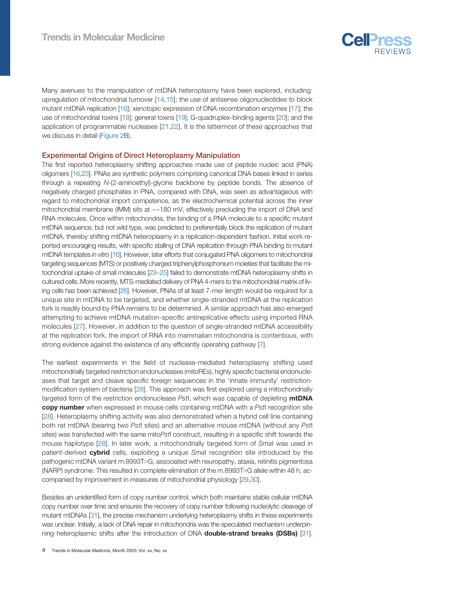

Many avenues to the manipulation of mtDNA heteroplasmy have been explored, including: upregulation of mitochondrial turnover [\[14](#page-10-0),[15\]](#page-10-0); the use of antisense oligonucleotides to block mutant mtDNA replication [\[16](#page-10-0)]; xenotopic expression of DNA recombination enzymes [\[17](#page-10-0)]; the use of mitochondrial toxins [\[18](#page-10-0)]; general toxins [\[19](#page-10-0)]; G-quadruplex-binding agents [[20\]](#page-10-0); and the application of programmable nucleases [\[21,22](#page-10-0)]. It is the lattermost of these approaches that we discuss in detail ([Figure 2B](#page-2-0)).

#### Experimental Origins of Direct Heteroplasmy Manipulation

The first reported heteroplasmy shifting approaches made use of peptide nucleic acid (PNA) oligomers [\[16](#page-10-0),[23](#page-10-0)]. PNAs are synthetic polymers comprising canonical DNA bases linked in series through a repeating N-(2-aminoethyl)-glycine backbone by peptide bonds. The absence of negatively charged phosphates in PNA, compared with DNA, was seen as advantageous with regard to mitochondrial import competence, as the electrochemical potential across the inner mitochondrial membrane (IMM) sits at ~−180 mV, effectively precluding the import of DNA and RNA molecules. Once within mitochondria, the binding of a PNA molecule to a specific mutant mtDNA sequence, but not wild type, was predicted to preferentially block the replication of mutant mtDNA, thereby shifting mtDNA heteroplasmy in a replication-dependent fashion. Initial work reported encouraging results, with specific stalling of DNA replication through PNA binding to mutant mtDNA templates in vitro [\[16\]](#page-10-0). However, later efforts that conjugated PNA oligomers to mitochondrial targeting sequences (MTS) or positively charged triphenylphosphonium moieties that facilitate the mitochondrial uptake of small molecules [\[23](#page-10-0)–25] failed to demonstrate mtDNA heteroplasmy shifts in cultured cells. More recently, MTS-mediated delivery of PNA 4-mers to the mitochondrial matrix of living cells has been achieved [[26](#page-10-0)]. However, PNAs of at least 7-mer length would be required for a unique site in mtDNA to be targeted, and whether single-stranded mtDNA at the replication fork is readily bound by PNA remains to be determined. A similar approach has also emerged attempting to achieve mtDNA mutation-specific antireplicative effects using imported RNA molecules [\[27\]](#page-10-0). However, in addition to the question of single-stranded mtDNA accessibility at the replication fork, the import of RNA into mammalian mitochondria is contentious, with strong evidence against the existence of any efficiently operating pathway [[7\]](#page-10-0).

The earliest experiments in the field of nuclease-mediated heteroplasmy shifting used mitochondrially targeted restriction endonucleases (mitoREs), highly specific bacterial endonucleases that target and cleave specific foreign sequences in the 'innate immunity' restrictionmodification system of bacteria [[28\]](#page-10-0). This approach was first explored using a mitochondrially targeted form of the restriction endonuclease Pstl, which was capable of depleting mtDNA copy number when expressed in mouse cells containing mtDNA with a PstI recognition site [[28](#page-10-0)]. Heteroplasmy shifting activity was also demonstrated when a hybrid cell line containing both rat mtDNA (bearing two PstI sites) and an alternative mouse mtDNA (without any PstI sites) was transfected with the same mitoPstI construct, resulting in a specific shift towards the mouse haplotype [\[28](#page-10-0)]. In later work, a mitochondrially targeted form of SmaI was used in patient-derived cybrid cells, exploiting a unique Smal recognition site introduced by the pathogenic mtDNA variant m.8993T>G, associated with neuropathy, ataxia, retinitis pigmentosa (NARP) syndrome. This resulted in complete elimination of the m.8993T>G allele within 48 h, accompanied by improvement in measures of mitochondrial physiology [\[29](#page-10-0),[30\]](#page-10-0).

Besides an unidentified form of copy number control, which both maintains stable cellular mtDNA copy number over time and ensures the recovery of copy number following nucleolytic cleavage of mutant mtDNAs [\[31\]](#page-10-0), the precise mechanism underlying heteroplasmy shifts in these experiments was unclear. Initially, a lack of DNA repair in mitochondria was the speculated mechanism underpinning heteroplasmic shifts after the introduction of DNA **double-strand breaks (DSBs)** [\[31\]](#page-10-0).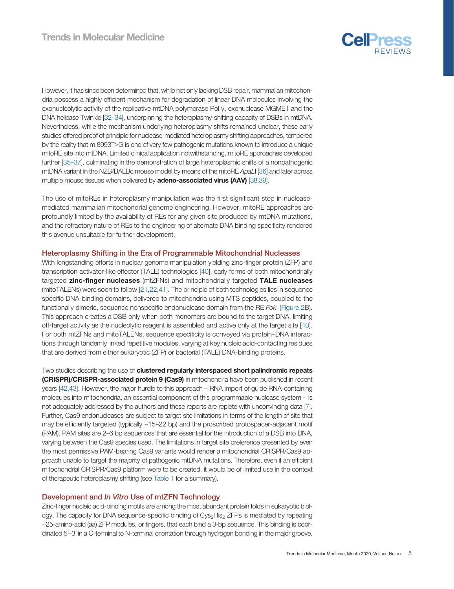

However, it has since been determined that, while not only lacking DSB repair, mammalian mitochondria possess a highly efficient mechanism for degradation of linear DNA molecules involving the exonucleolytic activity of the replicative mtDNA polymerase Pol γ, exonuclease MGME1 and the DNA helicase Twinkle [32–[34](#page-10-0)], underpinning the heteroplasmy-shifting capacity of DSBs in mtDNA. Nevertheless, while the mechanism underlying heteroplasmy shifts remained unclear, these early studies offered proof of principle for nuclease-mediated heteroplasmy shifting approaches, tempered by the reality that m.8993T>G is one of very few pathogenic mutations known to introduce a unique mitoRE site into mtDNA. Limited clinical application notwithstanding, mitoRE approaches developed further [35–[37\]](#page-11-0), culminating in the demonstration of large heteroplasmic shifts of a nonpathogenic mtDNA variant in the NZB/BALBc mouse model by means of the mitoRE ApaLI [\[36\]](#page-11-0) and later across multiple mouse tissues when delivered by adeno-associated virus (AAV) [[38,39\]](#page-11-0).

The use of mitoREs in heteroplasmy manipulation was the first significant step in nucleasemediated mammalian mitochondrial genome engineering. However, mitoRE approaches are profoundly limited by the availability of REs for any given site produced by mtDNA mutations, and the refractory nature of REs to the engineering of alternate DNA binding specificity rendered this avenue unsuitable for further development.

#### Heteroplasmy Shifting in the Era of Programmable Mitochondrial Nucleases

With longstanding efforts in nuclear genome manipulation yielding zinc-finger protein (ZFP) and transcription activator-like effector (TALE) technologies [\[40](#page-11-0)], early forms of both mitochondrially targeted zinc-finger nucleases (mtZFNs) and mitochondrially targeted TALE nucleases (mitoTALENs) were soon to follow [[21](#page-10-0),[22,](#page-10-0)[41\]](#page-11-0). The principle of both technologies lies in sequence specific DNA-binding domains, delivered to mitochondria using MTS peptides, coupled to the functionally dimeric, sequence nonspecific endonuclease domain from the RE FokI ([Figure 2B](#page-2-0)). This approach creates a DSB only when both monomers are bound to the target DNA, limiting off-target activity as the nucleolytic reagent is assembled and active only at the target site [[40\]](#page-11-0). For both mtZFNs and mitoTALENs, sequence specificity is conveyed via protein–DNA interactions through tandemly linked repetitive modules, varying at key nucleic acid-contacting residues that are derived from either eukaryotic (ZFP) or bacterial (TALE) DNA-binding proteins.

Two studies describing the use of clustered regularly interspaced short palindromic repeats (CRISPR)/CRISPR-associated protein 9 (Cas9) in mitochondria have been published in recent years [\[42,43\]](#page-11-0). However, the major hurdle to this approach – RNA import of guide RNA-containing molecules into mitochondria, an essential component of this programmable nuclease system – is not adequately addressed by the authors and these reports are replete with unconvincing data [\[7](#page-10-0)]. Further, Cas9 endonucleases are subject to target site limitations in terms of the length of site that may be efficiently targeted (typically ~15–22 bp) and the proscribed protospacer-adjacent motif (PAM). PAM sites are 2–6 bp sequences that are essential for the introduction of a DSB into DNA, varying between the Cas9 species used. The limitations in target site preference presented by even the most permissive PAM-bearing Cas9 variants would render a mitochondrial CRISPR/Cas9 approach unable to target the majority of pathogenic mtDNA mutations. Therefore, even if an efficient mitochondrial CRISPR/Cas9 platform were to be created, it would be of limited use in the context of therapeutic heteroplasmy shifting (see [Table 1](#page-5-0) for a summary).

# Development and In Vitro Use of mtZFN Technology

Zinc-finger nucleic acid-binding motifs are among the most abundant protein folds in eukaryotic biology. The capacity for DNA sequence-specific binding of Cys<sub>2</sub>His<sub>2</sub> ZFPs is mediated by repeating ~25-amino-acid (aa) ZFP modules, or fingers, that each bind a 3-bp sequence. This binding is coordinated 5′–3′ in a C-terminal to N-terminal orientation through hydrogen bonding in the major groove,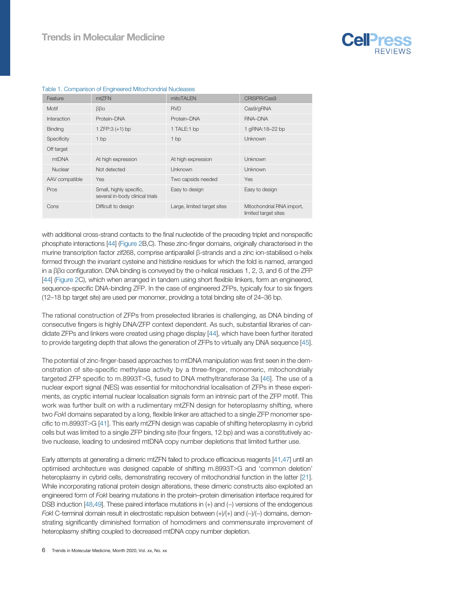

| Feature        | mtZFN                                                      | mitoTALEN                   | CRISPR/Cas9                                       |
|----------------|------------------------------------------------------------|-----------------------------|---------------------------------------------------|
| Motif          | $\beta\beta\alpha$                                         | <b>RVD</b>                  | Cas9/gRNA                                         |
| Interaction    | Protein-DNA                                                | Protein-DNA                 | RNA-DNA                                           |
| <b>Binding</b> | 1 ZFP:3 $(+1)$ bp                                          | 1 TALE:1 bp                 | 1 gRNA:18-22 bp                                   |
| Specificity    | 1 <sub>bp</sub>                                            | 1bp                         | Unknown                                           |
| Off target     |                                                            |                             |                                                   |
| mtDNA          | At high expression                                         | At high expression          | Unknown                                           |
| Nuclear        | Not detected                                               | Unknown                     | Unknown                                           |
| AAV compatible | Yes                                                        | Two capsids needed          | <b>Yes</b>                                        |
| Pros           | Small, highly specific,<br>several in-body clinical trials | Easy to design              | Easy to design                                    |
| Cons           | Difficult to design                                        | Large, limited target sites | Mitochondrial RNA import,<br>limited target sites |

#### <span id="page-5-0"></span>Table 1. Comparison of Engineered Mitochondrial Nucleases

with additional cross-strand contacts to the final nucleotide of the preceding triplet and nonspecific phosphate interactions [\[44](#page-11-0)] [\(Figure 2B](#page-2-0),C). These zinc-finger domains, originally characterised in the murine transcription factor zif268, comprise antiparallel β-strands and a zinc ion-stabilised α-helix formed through the invariant cysteine and histidine residues for which the fold is named, arranged in a ββα configuration. DNA binding is conveyed by the α-helical residues 1, 2, 3, and 6 of the ZFP [[44\]](#page-11-0) [\(Figure 2](#page-2-0)C), which when arranged in tandem using short flexible linkers, form an engineered, sequence-specific DNA-binding ZFP. In the case of engineered ZFPs, typically four to six fingers (12–18 bp target site) are used per monomer, providing a total binding site of 24–36 bp.

The rational construction of ZFPs from preselected libraries is challenging, as DNA binding of consecutive fingers is highly DNA/ZFP context dependent. As such, substantial libraries of candidate ZFPs and linkers were created using phage display [[44\]](#page-11-0), which have been further iterated to provide targeting depth that allows the generation of ZFPs to virtually any DNA sequence [\[45\]](#page-11-0).

The potential of zinc-finger-based approaches to mtDNA manipulation was first seen in the demonstration of site-specific methylase activity by a three-finger, monomeric, mitochondrially targeted ZFP specific to m.8993T>G, fused to DNA methyltransferase 3a  $[46]$  $[46]$ . The use of a nuclear export signal (NES) was essential for mitochondrial localisation of ZFPs in these experiments, as cryptic internal nuclear localisation signals form an intrinsic part of the ZFP motif. This work was further built on with a rudimentary mtZFN design for heteroplasmy shifting, where two FokI domains separated by a long, flexible linker are attached to a single ZFP monomer spe-cific to m.8993T>G [[41\]](#page-11-0). This early mtZFN design was capable of shifting heteroplasmy in cybrid cells but was limited to a single ZFP binding site (four fingers, 12 bp) and was a constitutively active nuclease, leading to undesired mtDNA copy number depletions that limited further use.

Early attempts at generating a dimeric mtZFN failed to produce efficacious reagents [[41](#page-11-0),[47](#page-11-0)] until an optimised architecture was designed capable of shifting m.8993T>G and 'common deletion' heteroplasmy in cybrid cells, demonstrating recovery of mitochondrial function in the latter [\[21\]](#page-10-0). While incorporating rational protein design alterations, these dimeric constructs also exploited an engineered form of FokI bearing mutations in the protein–protein dimerisation interface required for DSB induction [\[48,49\]](#page-11-0). These paired interface mutations in (+) and (−) versions of the endogenous FokI C-terminal domain result in electrostatic repulsion between (+)/(+) and (−)/(−) domains, demonstrating significantly diminished formation of homodimers and commensurate improvement of heteroplasmy shifting coupled to decreased mtDNA copy number depletion.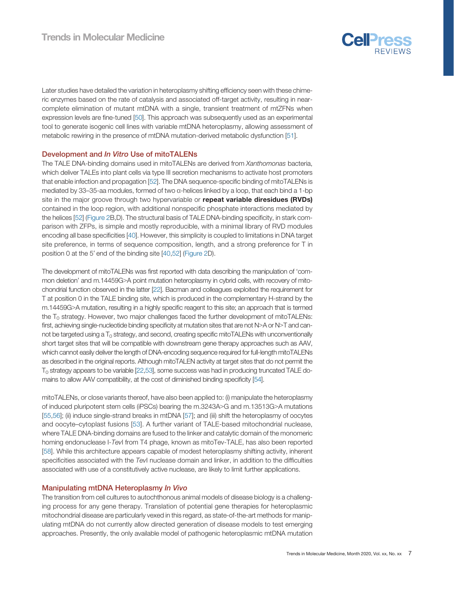

Later studies have detailed the variation in heteroplasmy shifting efficiency seen with these chimeric enzymes based on the rate of catalysis and associated off-target activity, resulting in nearcomplete elimination of mutant mtDNA with a single, transient treatment of mtZFNs when expression levels are fine-tuned [\[50](#page-11-0)]. This approach was subsequently used as an experimental tool to generate isogenic cell lines with variable mtDNA heteroplasmy, allowing assessment of metabolic rewiring in the presence of mtDNA mutation-derived metabolic dysfunction [\[51](#page-11-0)].

# Development and In Vitro Use of mitoTALENs

The TALE DNA-binding domains used in mitoTALENs are derived from Xanthomonas bacteria, which deliver TALEs into plant cells via type III secretion mechanisms to activate host promoters that enable infection and propagation [[52\]](#page-11-0). The DNA sequence-specific binding of mitoTALENs is mediated by 33–35-aa modules, formed of two α-helices linked by a loop, that each bind a 1-bp site in the major groove through two hypervariable or **repeat variable diresidues (RVDs)** contained in the loop region, with additional nonspecific phosphate interactions mediated by the helices [[52\]](#page-11-0) ([Figure 2](#page-2-0)B,D). The structural basis of TALE DNA-binding specificity, in stark comparison with ZFPs, is simple and mostly reproducible, with a minimal library of RVD modules encoding all base specificities [\[40](#page-11-0)]. However, this simplicity is coupled to limitations in DNA target site preference, in terms of sequence composition, length, and a strong preference for T in position 0 at the 5′ end of the binding site [[40](#page-11-0),[52\]](#page-11-0) [\(Figure 2](#page-2-0)D).

The development of mitoTALENs was first reported with data describing the manipulation of 'common deletion' and m.14459G>A point mutation heteroplasmy in cybrid cells, with recovery of mitochondrial function observed in the latter [[22](#page-10-0)]. Bacman and colleagues exploited the requirement for T at position 0 in the TALE binding site, which is produced in the complementary H-strand by the m.14459G>A mutation, resulting in a highly specific reagent to this site; an approach that is termed the  $T_0$  strategy. However, two major challenges faced the further development of mitoTALENs: first, achieving single-nucleotide binding specificity at mutation sites that are not N>A or N>T and cannot be targeted using a  $T_0$  strategy, and second, creating specific mitoTALENs with unconventionally short target sites that will be compatible with downstream gene therapy approaches such as AAV, which cannot easily deliver the length of DNA-encoding sequence required for full-length mitoTALENs as described in the original reports. Although mitoTALEN activity at target sites that do not permit the  $T_0$  strategy appears to be variable [\[22](#page-10-0)[,53\]](#page-11-0), some success was had in producing truncated TALE domains to allow AAV compatibility, at the cost of diminished binding specificity [[54](#page-11-0)].

mitoTALENs, or close variants thereof, have also been applied to: (i) manipulate the heteroplasmy of induced pluripotent stem cells (iPSCs) bearing the m.3243A>G and m.13513G>A mutations [[55,56](#page-11-0)]; (ii) induce single-strand breaks in mtDNA [\[57](#page-11-0)]; and (iii) shift the heteroplasmy of oocytes and oocyte–cytoplast fusions [\[53\]](#page-11-0). A further variant of TALE-based mitochondrial nuclease, where TALE DNA-binding domains are fused to the linker and catalytic domain of the monomeric homing endonuclease I-TevI from T4 phage, known as mitoTev-TALE, has also been reported [[58\]](#page-11-0). While this architecture appears capable of modest heteroplasmy shifting activity, inherent specificities associated with the TevI nuclease domain and linker, in addition to the difficulties associated with use of a constitutively active nuclease, are likely to limit further applications.

# Manipulating mtDNA Heteroplasmy In Vivo

The transition from cell cultures to autochthonous animal models of disease biology is a challenging process for any gene therapy. Translation of potential gene therapies for heteroplasmic mitochondrial disease are particularly vexed in this regard, as state-of-the-art methods for manipulating mtDNA do not currently allow directed generation of disease models to test emerging approaches. Presently, the only available model of pathogenic heteroplasmic mtDNA mutation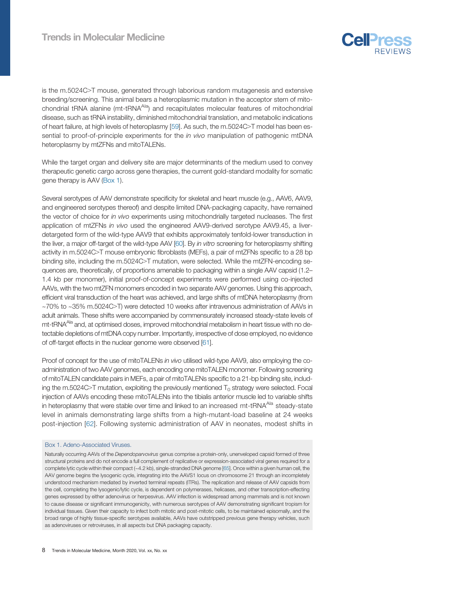

is the m.5024C>T mouse, generated through laborious random mutagenesis and extensive breeding/screening. This animal bears a heteroplasmic mutation in the acceptor stem of mitochondrial tRNA alanine (mt-tRNA<sup>Ala</sup>) and recapitulates molecular features of mitochondrial disease, such as tRNA instability, diminished mitochondrial translation, and metabolic indications of heart failure, at high levels of heteroplasmy [[59\]](#page-11-0). As such, the m.5024C>T model has been essential to proof-of-principle experiments for the in vivo manipulation of pathogenic mtDNA heteroplasmy by mtZFNs and mitoTALENs.

While the target organ and delivery site are major determinants of the medium used to convey therapeutic genetic cargo across gene therapies, the current gold-standard modality for somatic gene therapy is AAV (Box 1).

Several serotypes of AAV demonstrate specificity for skeletal and heart muscle (e.g., AAV6, AAV9, and engineered serotypes thereof) and despite limited DNA-packaging capacity, have remained the vector of choice for in vivo experiments using mitochondrially targeted nucleases. The first application of mtZFNs in vivo used the engineered AAV9-derived serotype AAV9.45, a liverdetargeted form of the wild-type AAV9 that exhibits approximately tenfold-lower transduction in the liver, a major off-target of the wild-type AAV [\[60\]](#page-11-0). By in vitro screening for heteroplasmy shifting activity in m.5024C>T mouse embryonic fibroblasts (MEFs), a pair of mtZFNs specific to a 28 bp binding site, including the m.5024C>T mutation, were selected. While the mtZFN-encoding sequences are, theoretically, of proportions amenable to packaging within a single AAV capsid (1.2– 1.4 kb per monomer), initial proof-of-concept experiments were performed using co-injected AAVs, with the two mtZFN monomers encoded in two separate AAV genomes. Using this approach, efficient viral transduction of the heart was achieved, and large shifts of mtDNA heteroplasmy (from ~70% to ~35% m.5024C>T) were detected 10 weeks after intravenous administration of AAVs in adult animals. These shifts were accompanied by commensurately increased steady-state levels of mt-tRNA<sup>Ala</sup> and, at optimised doses, improved mitochondrial metabolism in heart tissue with no detectable depletions of mtDNA copy number. Importantly, irrespective of dose employed, no evidence of off-target effects in the nuclear genome were observed [\[61\]](#page-11-0).

Proof of concept for the use of mitoTALENs in vivo utilised wild-type AAV9, also employing the coadministration of two AAV genomes, each encoding one mitoTALEN monomer. Following screening of mitoTALEN candidate pairs in MEFs, a pair of mitoTALENs specific to a 21-bp binding site, including the m.5024C>T mutation, exploiting the previously mentioned  $T_0$  strategy were selected. Focal injection of AAVs encoding these mitoTALENs into the tibialis anterior muscle led to variable shifts in heteroplasmy that were stable over time and linked to an increased mt-tRNA<sup>Ala</sup> steady-state level in animals demonstrating large shifts from a high-mutant-load baseline at 24 weeks post-injection [[62\]](#page-11-0). Following systemic administration of AAV in neonates, modest shifts in

#### Box 1. Adeno-Associated Viruses.

Naturally occurring AAVs of the Dependoparvovirus genus comprise a protein-only, unenveloped capsid formed of three structural proteins and do not encode a full complement of replicative or expression-associated viral genes required for a complete lytic cycle within their compact (~4.2 kb), single-stranded DNA genome [\[65\]](#page-11-0). Once within a given human cell, the AAV genome begins the lysogenic cycle, integrating into the AAVS1 locus on chromosome 21 through an incompletely understood mechanism mediated by inverted terminal repeats (ITRs). The replication and release of AAV capsids from the cell, completing the lysogenic/lytic cycle, is dependent on polymerases, helicases, and other transcription-effecting genes expressed by either adenovirus or herpesvirus. AAV infection is widespread among mammals and is not known to cause disease or significant immunogenicity, with numerous serotypes of AAV demonstrating significant tropism for individual tissues. Given their capacity to infect both mitotic and post-mitotic cells, to be maintained episomally, and the broad range of highly tissue-specific serotypes available, AAVs have outstripped previous gene therapy vehicles, such as adenoviruses or retroviruses, in all aspects but DNA packaging capacity.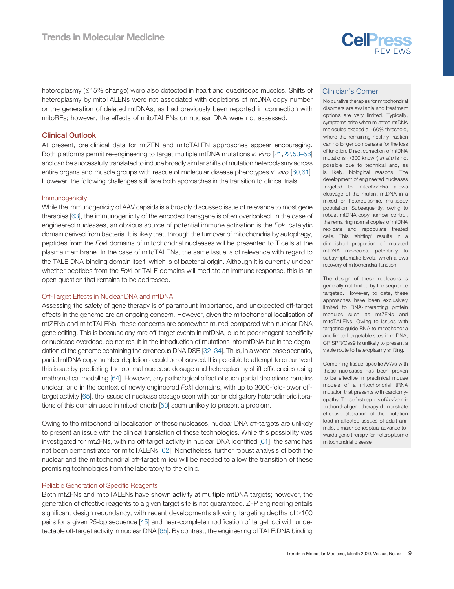

heteroplasmy (≤15% change) were also detected in heart and quadriceps muscles. Shifts of heteroplasmy by mitoTALENs were not associated with depletions of mtDNA copy number or the generation of deleted mtDNAs, as had previously been reported in connection with mitoREs; however, the effects of mitoTALENs on nuclear DNA were not assessed.

#### Clinical Outlook

At present, pre‐clinical data for mtZFN and mitoTALEN approaches appear encouraging. Both platforms permit re-engineering to target multiple mtDNA mutations in vitro [\[21](#page-10-0),[22,](#page-10-0)[53](#page-11-0)–56] and can be successfully translated to induce broadly similar shifts of mutation heteroplasmy across entire organs and muscle groups with rescue of molecular disease phenotypes in vivo [[60](#page-11-0),[61\]](#page-11-0). However, the following challenges still face both approaches in the transition to clinical trials.

#### Immunogenicity

While the immunogenicity of AAV capsids is a broadly discussed issue of relevance to most gene therapies [\[63\]](#page-11-0), the immunogenicity of the encoded transgene is often overlooked. In the case of engineered nucleases, an obvious source of potential immune activation is the FokI catalytic domain derived from bacteria. It is likely that, through the turnover of mitochondria by autophagy, peptides from the FokI domains of mitochondrial nucleases will be presented to T cells at the plasma membrane. In the case of mitoTALENs, the same issue is of relevance with regard to the TALE DNA-binding domain itself, which is of bacterial origin. Although it is currently unclear whether peptides from the FokI or TALE domains will mediate an immune response, this is an open question that remains to be addressed.

#### Off-Target Effects in Nuclear DNA and mtDNA

Assessing the safety of gene therapy is of paramount importance, and unexpected off-target effects in the genome are an ongoing concern. However, given the mitochondrial localisation of mtZFNs and mitoTALENs, these concerns are somewhat muted compared with nuclear DNA gene editing. This is because any rare off-target events in mtDNA, due to poor reagent specificity or nuclease overdose, do not result in the introduction of mutations into mtDNA but in the degradation of the genome containing the erroneous DNA DSB [\[32](#page-10-0)–34]. Thus, in a worst-case scenario, partial mtDNA copy number depletions could be observed. It is possible to attempt to circumvent this issue by predicting the optimal nuclease dosage and heteroplasmy shift efficiencies using mathematical modelling [[64\]](#page-11-0). However, any pathological effect of such partial depletions remains unclear, and in the context of newly engineered FokI domains, with up to 3000-fold-lower offtarget activity [[65](#page-11-0)], the issues of nuclease dosage seen with earlier obligatory heterodimeric iterations of this domain used in mitochondria [[50](#page-11-0)] seem unlikely to present a problem.

Owing to the mitochondrial localisation of these nucleases, nuclear DNA off-targets are unlikely to present an issue with the clinical translation of these technologies. While this possibility was investigated for mtZFNs, with no off-target activity in nuclear DNA identified [[61\]](#page-11-0), the same has not been demonstrated for mitoTALENs [\[62](#page-11-0)]. Nonetheless, further robust analysis of both the nuclear and the mitochondrial off-target milieu will be needed to allow the transition of these promising technologies from the laboratory to the clinic.

#### Reliable Generation of Specific Reagents

Both mtZFNs and mitoTALENs have shown activity at multiple mtDNA targets; however, the generation of effective reagents to a given target site is not guaranteed. ZFP engineering entails significant design redundancy, with recent developments allowing targeting depths of >100 pairs for a given 25-bp sequence [[45\]](#page-11-0) and near-complete modification of target loci with undetectable off-target activity in nuclear DNA [\[65\]](#page-11-0). By contrast, the engineering of TALE:DNA binding

#### Clinician's Corner

No curative therapies for mitochondrial disorders are available and treatment options are very limited. Typically, symptoms arise when mutated mtDNA molecules exceed a ~60% threshold, where the remaining healthy fraction can no longer compensate for the loss of function. Direct correction of mtDNA mutations (>300 known) in situ is not possible due to technical and, as is likely, biological reasons. The development of engineered nucleases targeted to mitochondria allows cleavage of the mutant mtDNA in a mixed or heteroplasmic, multicopy population. Subsequently, owing to robust mtDNA copy number control, the remaining normal copies of mtDNA replicate and repopulate treated cells. This 'shifting' results in a diminished proportion of mutated mtDNA molecules, potentially to subsymptomatic levels, which allows recovery of mitochondrial function.

The design of these nucleases is generally not limited by the sequence targeted. However, to date, these approaches have been exclusively limited to DNA-interacting protein modules such as mtZFNs and mitoTALENs. Owing to issues with targeting guide RNA to mitochondria and limited targetable sites in mtDNA, CRISPR/Cas9 is unlikely to present a viable route to heteroplasmy shifting.

Combining tissue-specific AAVs with these nucleases has been proven to be effective in preclinical mouse models of a mitochondrial tRNA mutation that presents with cardiomyopathy. These first reports of in vivo mitochondrial gene therapy demonstrate effective alteration of the mutation load in affected tissues of adult animals, a major conceptual advance towards gene therapy for heteroplasmic mitochondrial disease.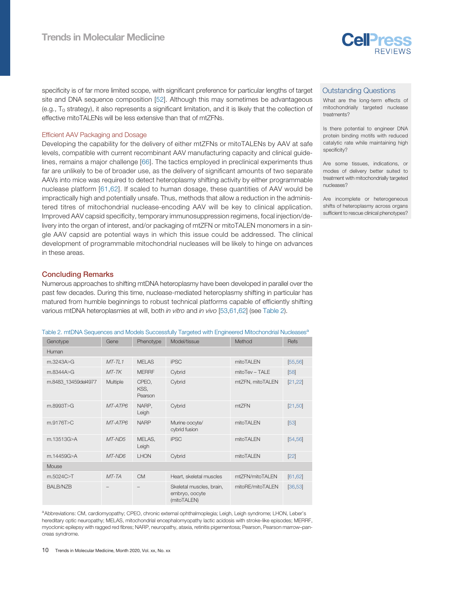

specificity is of far more limited scope, with significant preference for particular lengths of target site and DNA sequence composition [[52\]](#page-11-0). Although this may sometimes be advantageous (e.g., T<sub>0</sub> strategy), it also represents a significant limitation, and it is likely that the collection of effective mitoTALENs will be less extensive than that of mtZFNs.

#### Efficient AAV Packaging and Dosage

Developing the capability for the delivery of either mtZFNs or mitoTALENs by AAV at safe levels, compatible with current recombinant AAV manufacturing capacity and clinical guidelines, remains a major challenge [\[66\]](#page-11-0). The tactics employed in preclinical experiments thus far are unlikely to be of broader use, as the delivery of significant amounts of two separate AAVs into mice was required to detect heteroplasmy shifting activity by either programmable nuclease platform [[61,62](#page-11-0)]. If scaled to human dosage, these quantities of AAV would be impractically high and potentially unsafe. Thus, methods that allow a reduction in the administered titres of mitochondrial nuclease-encoding AAV will be key to clinical application. Improved AAV capsid specificity, temporary immunosuppression regimens, focal injection/delivery into the organ of interest, and/or packaging of mtZFN or mitoTALEN monomers in a single AAV capsid are potential ways in which this issue could be addressed. The clinical development of programmable mitochondrial nucleases will be likely to hinge on advances in these areas.

#### Concluding Remarks

Numerous approaches to shifting mtDNA heteroplasmy have been developed in parallel over the past few decades. During this time, nuclease-mediated heteroplasmy shifting in particular has matured from humble beginnings to robust technical platforms capable of efficiently shifting various mtDNA heteroplasmies at will, both in vitro and in vivo [[53,61,62](#page-11-0)] (see Table 2).

|  | Table 2. mtDNA Sequences and Models Successfully Targeted with Engineered Mitochondrial Nucleases <sup>a</sup> |  |  |
|--|----------------------------------------------------------------------------------------------------------------|--|--|
|  |                                                                                                                |  |  |
|  |                                                                                                                |  |  |

| Genotype            | Gene     | Phenotype                | Model/tissue                                              | Method           | Refs     |  |  |  |
|---------------------|----------|--------------------------|-----------------------------------------------------------|------------------|----------|--|--|--|
| Human               |          |                          |                                                           |                  |          |  |  |  |
| m.3243A>G           | $MT-TL1$ | <b>MELAS</b>             | <b>iPSC</b>                                               | mitoTALEN        | [55, 56] |  |  |  |
| m.8344A>G           | $MT$ -TK | <b>MERRF</b>             | Cybrid                                                    | mitoTev - TALE   | [58]     |  |  |  |
| m.8483_13459del4977 | Multiple | CPEO,<br>KSS,<br>Pearson | Cybrid                                                    | mtZFN, mitoTALEN | [21, 22] |  |  |  |
| m.8993T>G           | MT-ATP6  | NARP,<br>Leigh           | Cybrid                                                    | mtZFN            | [21, 50] |  |  |  |
| m.9176T>C           | MT-ATP6  | <b>NARP</b>              | Murine oocyte/<br>cybrid fusion                           | mitoTALEN        | [53]     |  |  |  |
| m.13513G>A          | MT-ND5   | MELAS,<br>Leigh          | <b>iPSC</b>                                               | mitoTALEN        | [54, 56] |  |  |  |
| m.14459G>A          | MT-ND6   | <b>LHON</b>              | Cybrid                                                    | mitoTALEN        | $[22]$   |  |  |  |
| Mouse               |          |                          |                                                           |                  |          |  |  |  |
| m.5024C>T           | MT-TA    | <b>CM</b>                | Heart, skeletal muscles                                   | mtZFN/mitoTALEN  | [61, 62] |  |  |  |
| <b>BALB/NZB</b>     |          |                          | Skeletal muscles, brain,<br>embryo, oocyte<br>(mitoTALEN) | mitoRE/mitoTALEN | [36, 53] |  |  |  |

aAbbreviations: CM, cardiomyopathy; CPEO, chronic external ophthalmoplegia; Leigh, Leigh syndrome; LHON, Leber's hereditary optic neuropathy; MELAS, mitochondrial encephalomyopathy lactic acidosis with stroke-like episodes; MERRF, myoclonic epilepsy with ragged red fibres; NARP, neuropathy, ataxia, retinitis pigementosa; Pearson, Pearson marrow–pancreas syndrome.

#### Outstanding Questions

What are the long-term effects of mitochondrially targeted nuclease treatments?

Is there potential to engineer DNA protein binding motifs with reduced catalytic rate while maintaining high specificity?

Are some tissues, indications, or modes of delivery better suited to treatment with mitochondrially targeted nucleases?

Are incomplete or heterogeneous shifts of heteroplasmy across organs sufficient to rescue clinical phenotypes?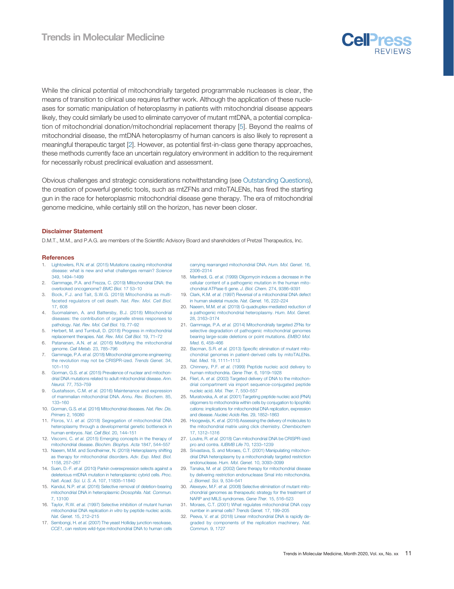

<span id="page-10-0"></span>While the clinical potential of mitochondrially targeted programmable nucleases is clear, the means of transition to clinical use requires further work. Although the application of these nucleases for somatic manipulation of heteroplasmy in patients with mitochondrial disease appears likely, they could similarly be used to eliminate carryover of mutant mtDNA, a potential complication of mitochondrial donation/mitochondrial replacement therapy [5]. Beyond the realms of mitochondrial disease, the mtDNA heteroplasmy of human cancers is also likely to represent a meaningful therapeutic target [2]. However, as potential first-in-class gene therapy approaches, these methods currently face an uncertain regulatory environment in addition to the requirement for necessarily robust preclinical evaluation and assessment.

Obvious challenges and strategic considerations notwithstanding (see Outstanding Questions), the creation of powerful genetic tools, such as mtZFNs and mitoTALENs, has fired the starting gun in the race for heteroplasmic mitochondrial disease gene therapy. The era of mitochondrial genome medicine, while certainly still on the horizon, has never been closer.

#### Disclaimer Statement

D.M.T., M.M., and P.A.G. are members of the Scientific Advisory Board and shareholders of Pretzel Therapeutics, Inc.

#### **References**

- 1. Lightowlers, R.N. et al. (2015) Mutations causing mitochondrial disease: what is new and what challenges remain? Science 349, 1494–1499
- 2. Gammage, P.A. and Frezza, C. (2019) Mitochondrial DNA: the overlooked oncogenome? BMC Biol. 17 53–10
- Bock, F.J. and Tait, S.W.G. (2019) Mitochondria as multifaceted regulators of cell death. Nat. Rev. Mol. Cell Biol. 17, 608
- 4. Suomalainen, A. and Battersby, B.J. (2018) Mitochondrial diseases: the contribution of organelle stress responses to pathology. Nat. Rev. Mol. Cell Biol. 19, 77–92
- 5. Herbert, M. and Turnbull, D. (2018) Progress in mitochondrial eplacement therapies. Nat. Rev. Mol. Cell Biol. 19, 71–72
- 6. Patananan, A.N. et al. (2016) Modifying the mitochondrial genome. Cell Metab. 23, 785–796
- 7. Gammage, P.A. et al. (2018) Mitochondrial genome engineering: the revolution may not be CRISPR-ized. Trends Genet. 34, 101–110
- Gorman, G.S. et al. (2015) Prevalence of nuclear and mitochondrial DNA mutations related to adult mitochondrial disease. Ann. Neurol. 77, 753–759
- 9. Gustafsson, C.M. et al. (2016) Maintenance and expression of mammalian mitochondrial DNA. Annu. Rev. Biochem. 85, 133–160
- 10. Gorman, G.S. et al. (2016) Mitochondrial diseases. Nat. Rev. Dis. Primers 2, 16080
- 11. Floros, V.I. et al. (2018) Segregation of mitochondrial DNA heteroplasmy through a developmental genetic bottleneck in human embryos. Nat. Cell Biol. 20, 144–151
- 12. Viscomi, C. et al. (2015) Emerging concepts in the therapy of mitochondrial disease. Biochim. Biophys. Acta 1847, 544–557
- 13. Naeem, M.M. and Sondheimer, N. (2019) Heteroplasmy shifting as therapy for mitochondrial disorders. Adv. Exp. Med. Biol. 1158, 257–267
- 14. Suen, D.-F. et al. (2010) Parkin overexpression selects against a deleterious mtDNA mutation in heteroplasmic cybrid cells. Proc. Natl. Acad. Sci. U. S. A. 107, 11835–11840
- 15. Kandul, N.P. et al. (2016) Selective removal of deletion-bearing mitochondrial DNA in heteroplasmic Drosophila. Nat. Commun. 7, 13100
- 16. Taylor, R.W. et al. (1997) Selective inhibition of mutant human mitochondrial DNA replication in vitro by peptide nucleic acids. Nat. Genet. 15, 212–215
- 17. Sembongi, H. et al. (2007) The yeast Holliday junction resolvase, CCE1, can restore wild-type mitochondrial DNA to human cells

carrying rearranged mitochondrial DNA. Hum. Mol. Genet. 16, 2306–2314

- 18. Manfredi, G. et al. (1999) Oligomycin induces a decrease in the cellular content of a pathogenic mutation in the human mitochondrial ATPase 6 gene. J. Biol. Chem. 274, 9386–9391
- 19. Clark, K.M. et al. (1997) Reversal of a mitochondrial DNA defect in human skeletal muscle. Nat. Genet. 16, 222–224
- 20. Naeem, M.M. et al. (2019) G-quadruplex-mediated reduction of a pathogenic mitochondrial heteroplasmy. Hum. Mol. Genet. 28, 3163–3174
- 21. Gammage, P.A. et al. (2014) Mitochondrially targeted ZFNs for selective degradation of pathogenic mitochondrial genomes bearing large-scale deletions or point mutations. EMBO Mol. Med. 6, 458–466
- 22. Bacman, S.R. et al. (2013) Specific elimination of mutant mitochondrial genomes in patient-derived cells by mitoTALENs. Nat. Med. 19, 1111–1113
- 23. Chinnery, P.F. et al. (1999) Peptide nucleic acid delivery to human mitochondria. Gene Ther. 6, 1919–1928
- 24. Flierl, A. et al. (2003) Targeted delivery of DNA to the mitochondrial compartment via import sequence-conjugated peptide nucleic acid. Mol. Ther. 7, 550–557
- 25. Muratovska, A. et al. (2001) Targeting peptide nucleic acid (PNA) oligomers to mitochondria within cells by conjugation to lipophilic cations: implications for mitochondrial DNA replication, expression and disease. Nucleic Acids Res. 29, 1852–1863
- 26. Hoogewijs, K. et al. (2016) Assessing the delivery of molecules to the mitochondrial matrix using click chemistry. Chembiochem 17, 1312–1316
- 27. Loutre, R. et al. (2018) Can mitochondrial DNA be CRISPR-ized: pro and contra. Il IBMB Life 70, 1233-1239
- 28. Srivastava, S. and Moraes, C.T. (2001) Manipulating mitochondrial DNA heteroplasmy by a mitochondrially targeted restriction endonuclease. Hum. Mol. Genet. 10, 3093–3099
- 29. Tanaka, M. et al. (2002) Gene therapy for mitochondrial disease by delivering restriction endonuclease SmaI into mitochondria. J. Biomed. Sci. 9, 534–541
- 30. Alexeyev, M.F. et al. (2008) Selective elimination of mutant mitochondrial genomes as therapeutic strategy for the treatment of NARP and MILS syndromes. Gene Ther. 15, 516–523
- 31. Moraes, C.T. (2001) What regulates mitochondrial DNA copy number in animal cells? Trends Genet. 17, 199–205
- 32. Peeva, V. et al. (2018) Linear mitochondrial DNA is rapidly degraded by components of the replication machinery. Nat. Commun. 9, 1727